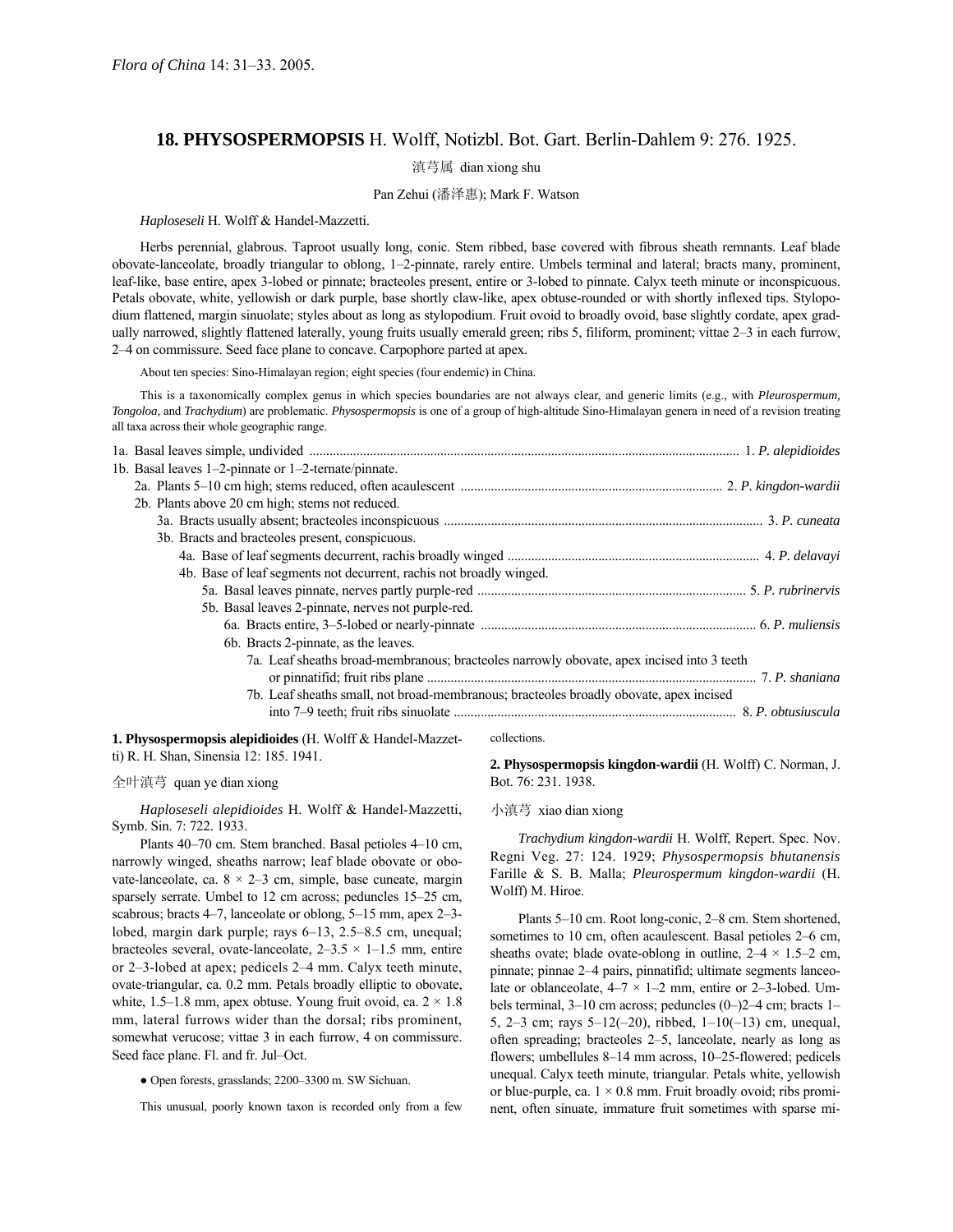# **18. PHYSOSPERMOPSIS** H. Wolff, Notizbl. Bot. Gart. Berlin-Dahlem 9: 276. 1925.

## 滇芎属 dian xiong shu

## Pan Zehui (潘泽惠); Mark F. Watson

#### *Haploseseli* H. Wolff & Handel-Mazzetti.

Herbs perennial, glabrous. Taproot usually long, conic. Stem ribbed, base covered with fibrous sheath remnants. Leaf blade obovate-lanceolate, broadly triangular to oblong, 1-2-pinnate, rarely entire. Umbels terminal and lateral; bracts many, prominent, leaf-like, base entire, apex 3-lobed or pinnate; bracteoles present, entire or 3-lobed to pinnate. Calyx teeth minute or inconspicuous. Petals obovate, white, yellowish or dark purple, base shortly claw-like, apex obtuse-rounded or with shortly inflexed tips. Stylopodium flattened, margin sinuolate; styles about as long as stylopodium. Fruit ovoid to broadly ovoid, base slightly cordate, apex gradually narrowed, slightly flattened laterally, young fruits usually emerald green; ribs 5, filiform, prominent; vittae 2-3 in each furrow, 2-4 on commissure. Seed face plane to concave. Carpophore parted at apex.

About ten species: Sino-Himalayan region; eight species (four endemic) in China.

This is a taxonomically complex genus in which species boundaries are not always clear, and generic limits (e.g., with *Pleurospermum, Tongoloa,* and *Trachydium*) are problematic. *Physospermopsis* is one of a group of high-altitude Sino-Himalayan genera in need of a revision treating all taxa across their whole geographic range.

| 1b. Basal leaves $1-2$ -pinnate or $1-2$ -ternate/pinnate.                                |  |
|-------------------------------------------------------------------------------------------|--|
|                                                                                           |  |
| 2b. Plants above 20 cm high; stems not reduced.                                           |  |
|                                                                                           |  |
| 3b. Bracts and bracteoles present, conspicuous.                                           |  |
|                                                                                           |  |
| 4b. Base of leaf segments not decurrent, rachis not broadly winged.                       |  |
|                                                                                           |  |
| 5b. Basal leaves 2-pinnate, nerves not purple-red.                                        |  |
|                                                                                           |  |
| 6b. Bracts 2-pinnate, as the leaves.                                                      |  |
| 7a. Leaf sheaths broad-membranous; bracteoles narrowly obovate, apex incised into 3 teeth |  |
|                                                                                           |  |
| 7b. Leaf sheaths small, not broad-membranous; bracteoles broadly obovate, apex incised    |  |
|                                                                                           |  |
| $\blacksquare$                                                                            |  |

**1. Physospermopsis alepidioides** (H. Wolff & Handel-Mazzetti) R. H. Shan, Sinensia 12: 185. 1941.

### 全叶滇芎 quan ye dian xiong

*Haploseseli alepidioides* H. Wolff & Handel-Mazzetti, Symb. Sin. 7: 722. 1933.

Plants 40–70 cm. Stem branched. Basal petioles 4–10 cm, narrowly winged, sheaths narrow; leaf blade obovate or obovate-lanceolate, ca.  $8 \times 2 - 3$  cm, simple, base cuneate, margin sparsely serrate. Umbel to 12 cm across; peduncles 15-25 cm, scabrous; bracts 4–7, lanceolate or oblong, 5–15 mm, apex 2–3lobed, margin dark purple; rays  $6-13$ ,  $2.5-8.5$  cm, unequal; bracteoles several, ovate-lanceolate,  $2-3.5 \times 1-1.5$  mm, entire or 2–3-lobed at apex; pedicels 2–4 mm. Calyx teeth minute, ovate-triangular, ca. 0.2 mm. Petals broadly elliptic to obovate, white, 1.5–1.8 mm, apex obtuse. Young fruit ovoid, ca.  $2 \times 1.8$ mm, lateral furrows wider than the dorsal; ribs prominent, somewhat verucose; vittae 3 in each furrow, 4 on commissure. Seed face plane. Fl. and fr. Jul-Oct.

• Open forests, grasslands; 2200–3300 m. SW Sichuan.

This unusual, poorly known taxon is recorded only from a few

#### collections.

**2. Physospermopsis kingdon-wardii** (H. Wolff) C. Norman, J. Bot. 76: 231. 1938.

## 小滇芎 xiao dian xiong

*Trachydium kingdon-wardii* H. Wolff, Repert. Spec. Nov. Regni Veg. 27: 124. 1929; *Physospermopsis bhutanensis* Farille & S. B. Malla; *Pleurospermum kingdon-wardii* (H. Wolff) M. Hiroe.

Plants 5–10 cm. Root long-conic, 2–8 cm. Stem shortened, sometimes to 10 cm, often acaulescent. Basal petioles 2–6 cm, sheaths ovate; blade ovate-oblong in outline,  $2-4 \times 1.5-2$  cm, pinnate; pinnae 2-4 pairs, pinnatifid; ultimate segments lanceolate or oblanceolate,  $4-7 \times 1-2$  mm, entire or 2-3-lobed. Umbels terminal,  $3-10$  cm across; peduncles  $(0-)2-4$  cm; bracts 1-5, 2–3 cm; rays  $5-12(-20)$ , ribbed,  $1-10(-13)$  cm, unequal, often spreading; bracteoles 2–5, lanceolate, nearly as long as flowers; umbellules 8–14 mm across, 10–25-flowered; pedicels unequal. Calyx teeth minute, triangular. Petals white, yellowish or blue-purple, ca.  $1 \times 0.8$  mm. Fruit broadly ovoid; ribs prominent, often sinuate, immature fruit sometimes with sparse mi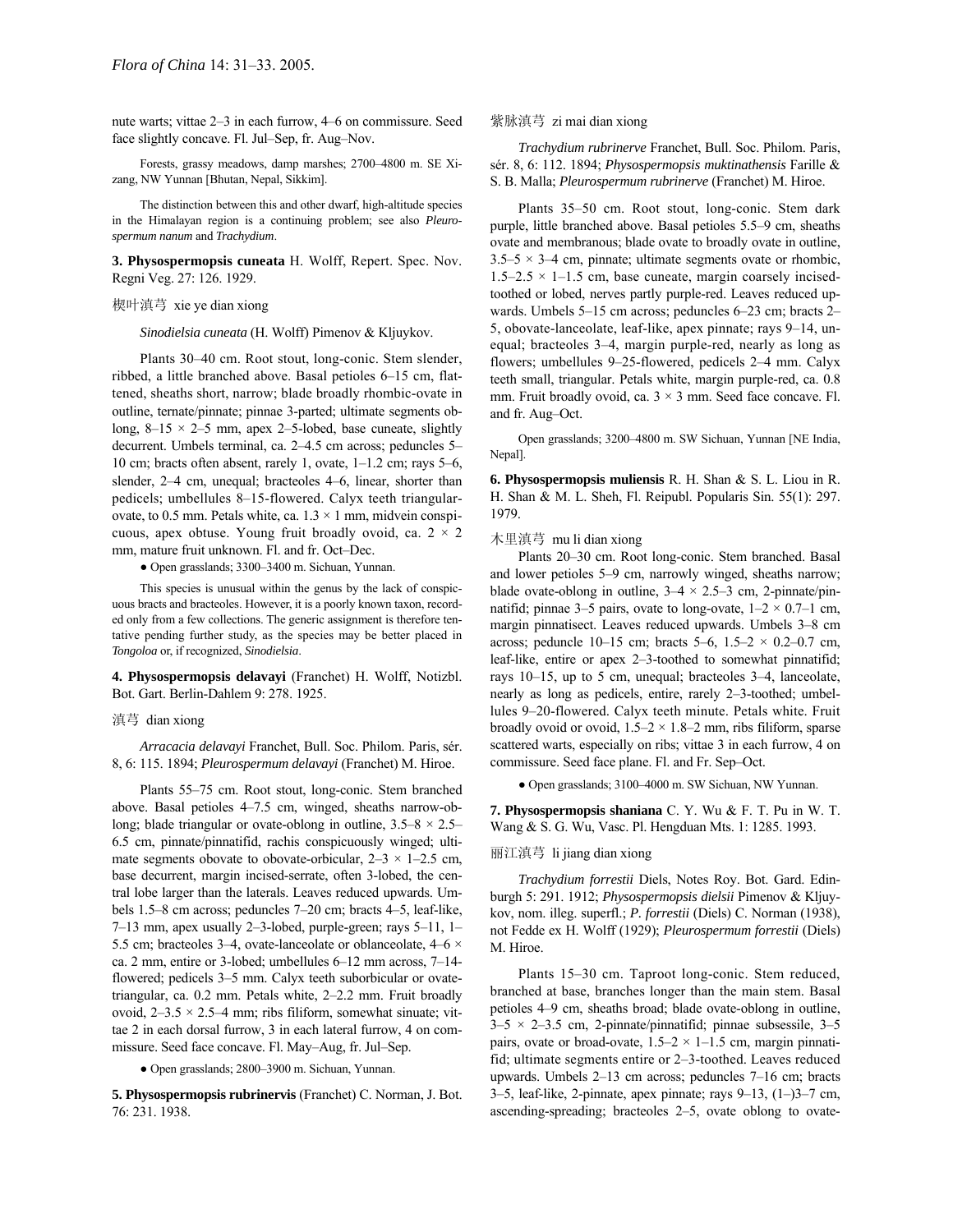nute warts; vittae 2-3 in each furrow, 4-6 on commissure. Seed 紫脉滇芎 zi mai dian xiong face slightly concave. Fl. Jul–Sep, fr. Aug–Nov. *Trachydium rubrinerve* Franchet, Bull. Soc. Philom. Paris,

Forests, grassy meadows, damp marshes; 2700-4800 m. SE Xizang, NW Yunnan [Bhutan, Nepal, Sikkim].

The distinction between this and other dwarf, high-altitude species in the Himalayan region is a continuing problem; see also *Pleurospermum nanum* and *Trachydium*.

**3. Physospermopsis cuneata** H. Wolff, Repert. Spec. Nov. Regni Veg. 27: 126. 1929.

## 楔叶滇芎 xie ye dian xiong

*Sinodielsia cuneata* (H. Wolff) Pimenov & Kljuykov.

Plants 30-40 cm. Root stout, long-conic. Stem slender, ribbed, a little branched above. Basal petioles 6-15 cm, flattened, sheaths short, narrow; blade broadly rhombic-ovate in outline, ternate/pinnate; pinnae 3-parted; ultimate segments oblong,  $8-15 \times 2-5$  mm, apex 2-5-lobed, base cuneate, slightly decurrent. Umbels terminal, ca. 2-4.5 cm across; peduncles 5-10 cm; bracts often absent, rarely 1, ovate,  $1-1.2$  cm; rays  $5-6$ , slender,  $2-4$  cm, unequal; bracteoles  $4-6$ , linear, shorter than pedicels; umbellules 8-15-flowered. Calyx teeth triangularovate, to 0.5 mm. Petals white, ca.  $1.3 \times 1$  mm, midvein conspicuous, apex obtuse. Young fruit broadly ovoid, ca.  $2 \times 2$ mm, mature fruit unknown. Fl. and fr. Oct–Dec.

● Open grasslands; 3300–3400 m. Sichuan, Yunnan.

This species is unusual within the genus by the lack of conspicuous bracts and bracteoles. However, it is a poorly known taxon, recorded only from a few collections. The generic assignment is therefore tentative pending further study, as the species may be better placed in *Tongoloa* or, if recognized, *Sinodielsia*.

**4. Physospermopsis delavayi** (Franchet) H. Wolff, Notizbl. Bot. Gart. Berlin-Dahlem 9: 278. 1925.

#### 滇芎 dian xiong

*Arracacia delavayi* Franchet, Bull. Soc. Philom. Paris, sÈr. 8, 6: 115. 1894; *Pleurospermum delavayi* (Franchet) M. Hiroe.

above. Basal petioles 4–7.5 cm, winged, sheaths narrow-oblong; blade triangular or ovate-oblong in outline,  $3.5-8 \times 2.5$ 6.5 cm, pinnate/pinnatifid, rachis conspicuously winged; ultimate segments obovate to obovate-orbicular,  $2-3 \times 1-2.5$  cm, base decurrent, margin incised-serrate, often 3-lobed, the central lobe larger than the laterals. Leaves reduced upwards. Umbels 1.5–8 cm across; peduncles 7–20 cm; bracts 4–5, leaf-like, 7–13 mm, apex usually 2–3-lobed, purple-green; rays  $5-11$ , 1– 5.5 cm; bracteoles 3–4, ovate-lanceolate or oblanceolate,  $4-6 \times$ ca. 2 mm, entire or 3-lobed; umbellules  $6-12$  mm across,  $7-14$ flowered; pedicels 3–5 mm. Calyx teeth suborbicular or ovatetriangular, ca. 0.2 mm. Petals white, 2-2.2 mm. Fruit broadly ovoid,  $2-3.5 \times 2.5-4$  mm; ribs filiform, somewhat sinuate; vittae 2 in each dorsal furrow, 3 in each lateral furrow, 4 on commissure. Seed face concave. Fl. May–Aug, fr. Jul–Sep.

• Open grasslands; 2800–3900 m. Sichuan, Yunnan.

**5. Physospermopsis rubrinervis** (Franchet) C. Norman, J. Bot. 76: 231. 1938.

sÈr. 8, 6: 112. 1894; *Physospermopsis muktinathensis* Farille & S. B. Malla; *Pleurospermum rubrinerve* (Franchet) M. Hiroe.

Plants 35–50 cm. Root stout, long-conic. Stem dark purple, little branched above. Basal petioles 5.5–9 cm, sheaths ovate and membranous; blade ovate to broadly ovate in outline,  $3.5-5 \times 3-4$  cm, pinnate; ultimate segments ovate or rhombic,  $1.5-2.5 \times 1-1.5$  cm, base cuneate, margin coarsely incisedtoothed or lobed, nerves partly purple-red. Leaves reduced upwards. Umbels 5–15 cm across; peduncles 6–23 cm; bracts 2– 5, obovate-lanceolate, leaf-like, apex pinnate; rays 9–14, unequal; bracteoles 3–4, margin purple-red, nearly as long as flowers; umbellules 9-25-flowered, pedicels 2-4 mm. Calyx teeth small, triangular. Petals white, margin purple-red, ca. 0.8 mm. Fruit broadly ovoid, ca.  $3 \times 3$  mm. Seed face concave. Fl. and fr. Aug-Oct.

Open grasslands; 3200-4800 m. SW Sichuan, Yunnan [NE India, Nepal].

**6. Physospermopsis muliensis** R. H. Shan & S. L. Liou in R. H. Shan & M. L. Sheh, Fl. Reipubl. Popularis Sin. 55(1): 297. 1979.

## 木里滇芎 mu li dian xiong

Plants 20-30 cm. Root long-conic. Stem branched. Basal and lower petioles 5–9 cm, narrowly winged, sheaths narrow; blade ovate-oblong in outline,  $3-4 \times 2.5-3$  cm, 2-pinnate/pinnatifid; pinnae 3–5 pairs, ovate to long-ovate,  $1-2 \times 0.7-1$  cm, margin pinnatisect. Leaves reduced upwards. Umbels 3-8 cm across; peduncle 10-15 cm; bracts 5-6, 1.5-2  $\times$  0.2-0.7 cm, leaf-like, entire or apex 2-3-toothed to somewhat pinnatifid; rays  $10-15$ , up to 5 cm, unequal; bracteoles  $3-4$ , lanceolate, nearly as long as pedicels, entire, rarely 2-3-toothed; umbellules 9-20-flowered. Calyx teeth minute. Petals white. Fruit broadly ovoid or ovoid,  $1.5-2 \times 1.8-2$  mm, ribs filiform, sparse scattered warts, especially on ribs; vittae 3 in each furrow, 4 on commissure. Seed face plane. Fl. and Fr. Sep-Oct.

Plants 55–75 cm. Root stout, long-conic. Stem branched • Open grasslands; 3100–4000 m. SW Sichuan, NW Yunnan.

**7. Physospermopsis shaniana** C. Y. Wu & F. T. Pu in W. T. Wang & S. G. Wu, Vasc. Pl. Hengduan Mts. 1: 1285. 1993.

## 丽江滇芎 li jiang dian xiong

*Trachydium forrestii* Diels, Notes Roy. Bot. Gard. Edinburgh 5: 291. 1912; *Physospermopsis dielsii* Pimenov & Kljuykov, nom. illeg. superfl.; *P. forrestii* (Diels) C. Norman (1938), not Fedde ex H. Wolff (1929); *Pleurospermum forrestii* (Diels) M. Hiroe.

Plants 15-30 cm. Taproot long-conic. Stem reduced, branched at base, branches longer than the main stem. Basal petioles 4–9 cm, sheaths broad; blade ovate-oblong in outline,  $3-5 \times 2-3.5$  cm, 2-pinnate/pinnatifid; pinnae subsessile,  $3-5$ pairs, ovate or broad-ovate,  $1.5-2 \times 1-1.5$  cm, margin pinnatifid; ultimate segments entire or  $2-3$ -toothed. Leaves reduced upwards. Umbels  $2-13$  cm across; peduncles  $7-16$  cm; bracts 3-5, leaf-like, 2-pinnate, apex pinnate; rays  $9-13$ ,  $(1-)3-7$  cm, ascending-spreading; bracteoles  $2-5$ , ovate oblong to ovate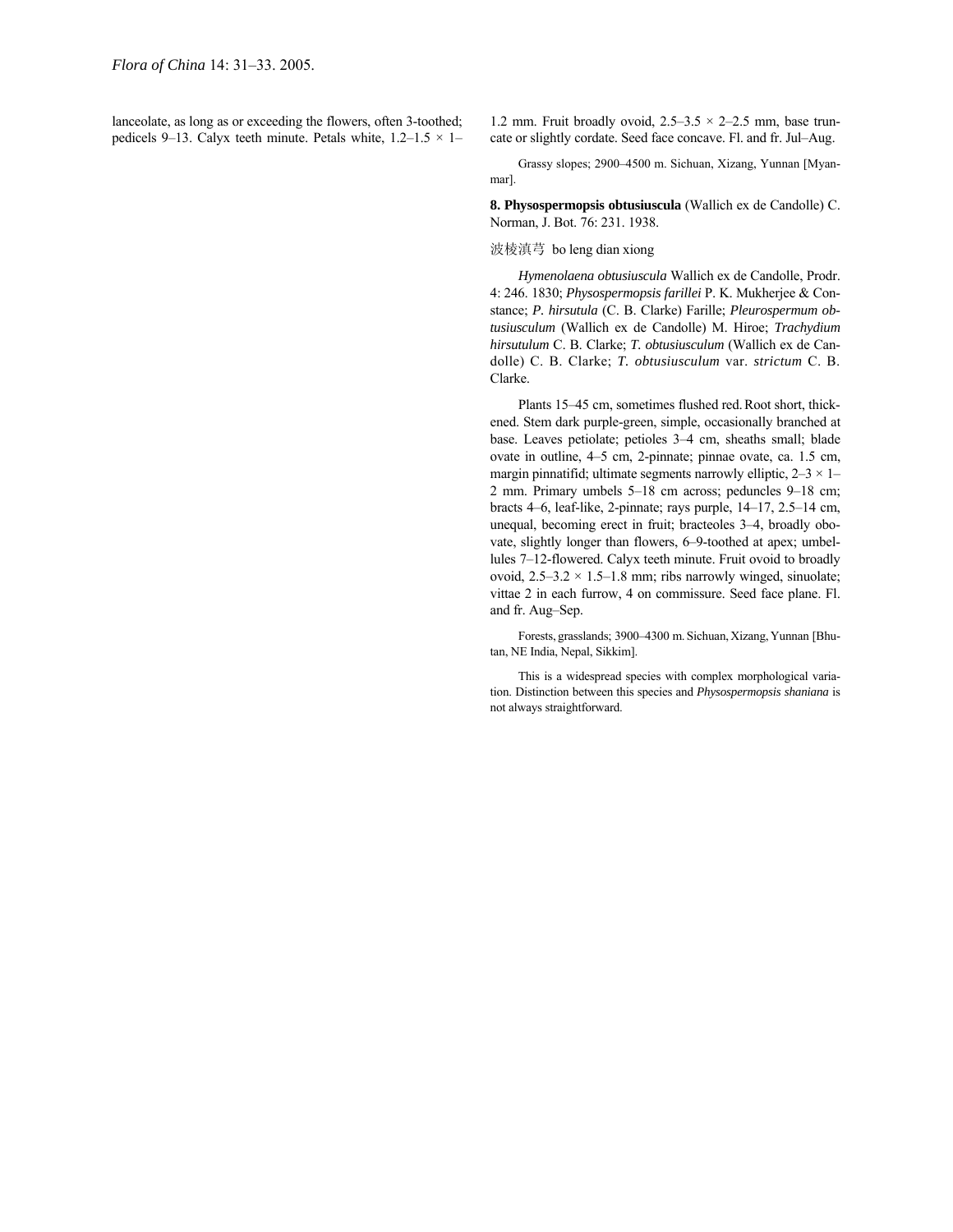lanceolate, as long as or exceeding the flowers, often 3-toothed; pedicels 9–13. Calyx teeth minute. Petals white,  $1.2-1.5 \times 1$ –

1.2 mm. Fruit broadly ovoid,  $2.5-3.5 \times 2-2.5$  mm, base truncate or slightly cordate. Seed face concave. Fl. and fr. Jul-Aug.

Grassy slopes; 2900-4500 m. Sichuan, Xizang, Yunnan [Myanmar].

**8. Physospermopsis obtusiuscula** (Wallich ex de Candolle) C. Norman, J. Bot. 76: 231. 1938.

## 波棱滇芎 bo leng dian xiong

*Hymenolaena obtusiuscula* Wallich ex de Candolle, Prodr. 4: 246. 1830; *Physospermopsis farillei* P. K. Mukherjee & Constance; *P. hirsutula* (C. B. Clarke) Farille; *Pleurospermum obtusiusculum* (Wallich ex de Candolle) M. Hiroe; *Trachydium hirsutulum* C. B. Clarke; *T. obtusiusculum* (Wallich ex de Candolle) C. B. Clarke; *T. obtusiusculum* var. *strictum* C. B. Clarke.

Plants 15–45 cm, sometimes flushed red.Root short, thickened. Stem dark purple-green, simple, occasionally branched at base. Leaves petiolate; petioles 3-4 cm, sheaths small; blade ovate in outline, 4-5 cm, 2-pinnate; pinnae ovate, ca. 1.5 cm, margin pinnatifid; ultimate segments narrowly elliptic,  $2-3 \times 1-$ 2 mm. Primary umbels  $5-18$  cm across; peduncles  $9-18$  cm; bracts 4–6, leaf-like, 2-pinnate; rays purple,  $14–17$ ,  $2.5–14$  cm, unequal, becoming erect in fruit; bracteoles  $3-4$ , broadly obovate, slightly longer than flowers, 6–9-toothed at apex; umbellules 7–12-flowered. Calyx teeth minute. Fruit ovoid to broadly ovoid,  $2.5-3.2 \times 1.5-1.8$  mm; ribs narrowly winged, sinuolate; vittae 2 in each furrow, 4 on commissure. Seed face plane. Fl. and fr. Aug-Sep.

Forests, grasslands; 3900–4300 m. Sichuan, Xizang, Yunnan [Bhutan, NE India, Nepal, Sikkim].

This is a widespread species with complex morphological variation. Distinction between this species and *Physospermopsis shaniana* is not always straightforward.